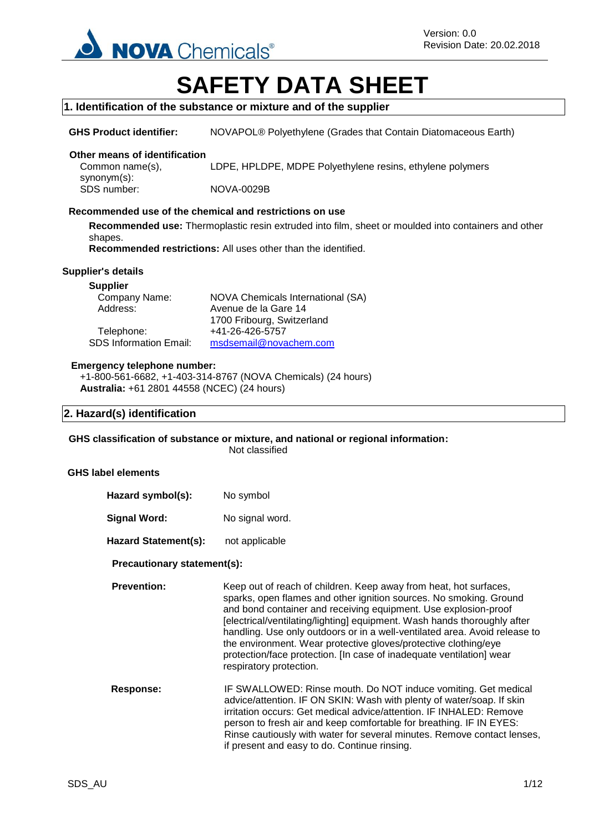

# **SAFETY DATA SHEET**

### **1. Identification of the substance or mixture and of the supplier**

**GHS Product identifier:** NOVAPOL® Polyethylene (Grades that Contain Diatomaceous Earth)

#### **Other means of identification**

Common name(s), synonym(s):<br>SDS number: LDPE, HPLDPE, MDPE Polyethylene resins, ethylene polymers **NOVA-0029B** 

### **Recommended use of the chemical and restrictions on use**

**Recommended use:** Thermoplastic resin extruded into film, sheet or moulded into containers and other shapes.

**Recommended restrictions:** All uses other than the identified.

### **Supplier's details**

#### **Supplier**

| Company Name:                 | <b>NOVA Chemicals International (SA)</b> |
|-------------------------------|------------------------------------------|
| Address:                      | Avenue de la Gare 14                     |
|                               | 1700 Fribourg, Switzerland               |
| Telephone:                    | +41-26-426-5757                          |
| <b>SDS Information Email:</b> | msdsemail@novachem.com                   |

#### **Emergency telephone number:**

+1-800-561-6682, +1-403-314-8767 (NOVA Chemicals) (24 hours) **Australia:** +61 2801 44558 (NCEC) (24 hours)

### **2. Hazard(s) identification**

**GHS classification of substance or mixture, and national or regional information:**

Not classified

### **GHS label elements**

| Hazard symbol(s):           | No symbol       |
|-----------------------------|-----------------|
| Signal Word:                | No signal word. |
| <b>Hazard Statement(s):</b> | not applicable  |

### **Precautionary statement(s):**

**Prevention:** Keep out of reach of children. Keep away from heat, hot surfaces, sparks, open flames and other ignition sources. No smoking. Ground and bond container and receiving equipment. Use explosion-proof [electrical/ventilating/lighting] equipment. Wash hands thoroughly after handling. Use only outdoors or in a well-ventilated area. Avoid release to the environment. Wear protective gloves/protective clothing/eye protection/face protection. [In case of inadequate ventilation] wear respiratory protection.

**Response:** IF SWALLOWED: Rinse mouth. Do NOT induce vomiting. Get medical advice/attention. IF ON SKIN: Wash with plenty of water/soap. If skin irritation occurs: Get medical advice/attention. IF INHALED: Remove person to fresh air and keep comfortable for breathing. IF IN EYES: Rinse cautiously with water for several minutes. Remove contact lenses, if present and easy to do. Continue rinsing.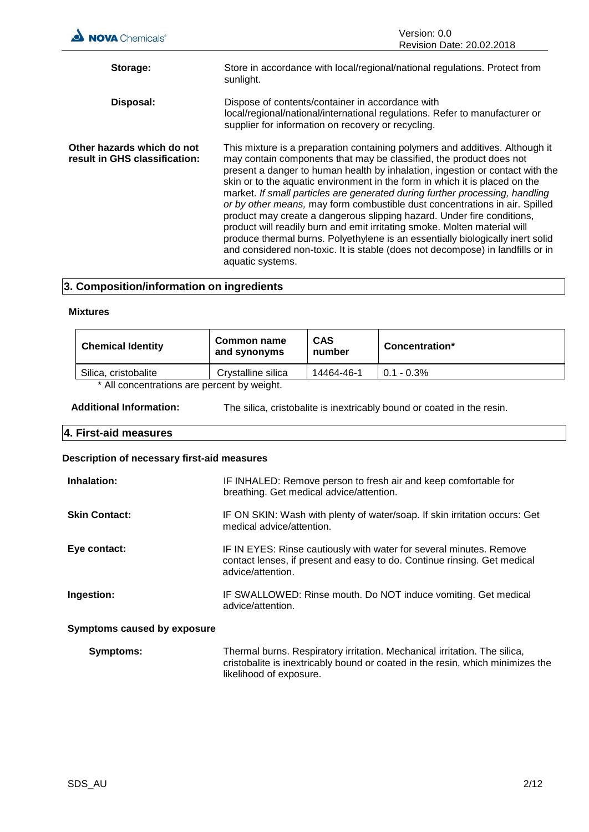| <b>NOVA</b> Chemicals®                                      | Version: 0.0<br>Revision Date: 20.02.2018                                                                                                                                                                                                                                                                                                                                                                                                                                                                                                                                                                                                                                                                                                                                                                                         |
|-------------------------------------------------------------|-----------------------------------------------------------------------------------------------------------------------------------------------------------------------------------------------------------------------------------------------------------------------------------------------------------------------------------------------------------------------------------------------------------------------------------------------------------------------------------------------------------------------------------------------------------------------------------------------------------------------------------------------------------------------------------------------------------------------------------------------------------------------------------------------------------------------------------|
| Storage:                                                    | Store in accordance with local/regional/national regulations. Protect from<br>sunlight.                                                                                                                                                                                                                                                                                                                                                                                                                                                                                                                                                                                                                                                                                                                                           |
| Disposal:                                                   | Dispose of contents/container in accordance with<br>local/regional/national/international regulations. Refer to manufacturer or<br>supplier for information on recovery or recycling.                                                                                                                                                                                                                                                                                                                                                                                                                                                                                                                                                                                                                                             |
| Other hazards which do not<br>result in GHS classification: | This mixture is a preparation containing polymers and additives. Although it<br>may contain components that may be classified, the product does not<br>present a danger to human health by inhalation, ingestion or contact with the<br>skin or to the aquatic environment in the form in which it is placed on the<br>market. If small particles are generated during further processing, handling<br>or by other means, may form combustible dust concentrations in air. Spilled<br>product may create a dangerous slipping hazard. Under fire conditions,<br>product will readily burn and emit irritating smoke. Molten material will<br>produce thermal burns. Polyethylene is an essentially biologically inert solid<br>and considered non-toxic. It is stable (does not decompose) in landfills or in<br>aquatic systems. |

### **3. Composition/information on ingredients**

### **Mixtures**

| <b>Chemical Identity</b>                   | Common name<br>and synonyms | <b>CAS</b><br>number | Concentration* |
|--------------------------------------------|-----------------------------|----------------------|----------------|
| Silica, cristobalite                       | Crystalline silica          | 14464-46-1           | $0.1 - 0.3\%$  |
| * All concentrations are percent by weight |                             |                      |                |

All concentrations are percent by weight.

| <b>Additional Information:</b> | The silica, cristobalite is inextricably bound or coated in the resin. |
|--------------------------------|------------------------------------------------------------------------|
|--------------------------------|------------------------------------------------------------------------|

# **4. First-aid measures**

### **Description of necessary first-aid measures**

| Inhalation:                 | IF INHALED: Remove person to fresh air and keep comfortable for<br>breathing. Get medical advice/attention.                                                                            |
|-----------------------------|----------------------------------------------------------------------------------------------------------------------------------------------------------------------------------------|
| <b>Skin Contact:</b>        | IF ON SKIN: Wash with plenty of water/soap. If skin irritation occurs: Get<br>medical advice/attention.                                                                                |
| Eye contact:                | IF IN EYES: Rinse cautiously with water for several minutes. Remove<br>contact lenses, if present and easy to do. Continue rinsing. Get medical<br>advice/attention.                   |
| Ingestion:                  | IF SWALLOWED: Rinse mouth. Do NOT induce vomiting. Get medical<br>advice/attention.                                                                                                    |
| Symptoms caused by exposure |                                                                                                                                                                                        |
| Symptoms:                   | Thermal burns. Respiratory irritation. Mechanical irritation. The silica,<br>cristobalite is inextricably bound or coated in the resin, which minimizes the<br>likelihood of exposure. |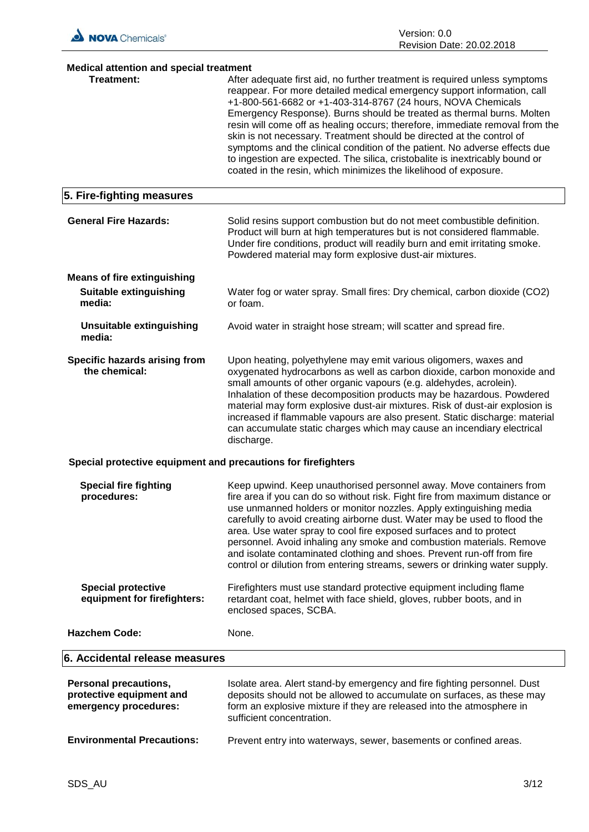

| <b>Medical attention and special treatment</b>                                    |                                                                                                                                                                                                                                                                                                                                                                                                                                                                                                                                                                                                                                                                                           |
|-----------------------------------------------------------------------------------|-------------------------------------------------------------------------------------------------------------------------------------------------------------------------------------------------------------------------------------------------------------------------------------------------------------------------------------------------------------------------------------------------------------------------------------------------------------------------------------------------------------------------------------------------------------------------------------------------------------------------------------------------------------------------------------------|
| <b>Treatment:</b>                                                                 | After adequate first aid, no further treatment is required unless symptoms<br>reappear. For more detailed medical emergency support information, call<br>+1-800-561-6682 or +1-403-314-8767 (24 hours, NOVA Chemicals<br>Emergency Response). Burns should be treated as thermal burns. Molten<br>resin will come off as healing occurs; therefore, immediate removal from the<br>skin is not necessary. Treatment should be directed at the control of<br>symptoms and the clinical condition of the patient. No adverse effects due<br>to ingestion are expected. The silica, cristobalite is inextricably bound or<br>coated in the resin, which minimizes the likelihood of exposure. |
| 5. Fire-fighting measures                                                         |                                                                                                                                                                                                                                                                                                                                                                                                                                                                                                                                                                                                                                                                                           |
| <b>General Fire Hazards:</b>                                                      | Solid resins support combustion but do not meet combustible definition.<br>Product will burn at high temperatures but is not considered flammable.<br>Under fire conditions, product will readily burn and emit irritating smoke.<br>Powdered material may form explosive dust-air mixtures.                                                                                                                                                                                                                                                                                                                                                                                              |
| <b>Means of fire extinguishing</b>                                                |                                                                                                                                                                                                                                                                                                                                                                                                                                                                                                                                                                                                                                                                                           |
| Suitable extinguishing<br>media:                                                  | Water fog or water spray. Small fires: Dry chemical, carbon dioxide (CO2)<br>or foam.                                                                                                                                                                                                                                                                                                                                                                                                                                                                                                                                                                                                     |
| <b>Unsuitable extinguishing</b><br>media:                                         | Avoid water in straight hose stream; will scatter and spread fire.                                                                                                                                                                                                                                                                                                                                                                                                                                                                                                                                                                                                                        |
| Specific hazards arising from<br>the chemical:                                    | Upon heating, polyethylene may emit various oligomers, waxes and<br>oxygenated hydrocarbons as well as carbon dioxide, carbon monoxide and<br>small amounts of other organic vapours (e.g. aldehydes, acrolein).<br>Inhalation of these decomposition products may be hazardous. Powdered<br>material may form explosive dust-air mixtures. Risk of dust-air explosion is<br>increased if flammable vapours are also present. Static discharge: material<br>can accumulate static charges which may cause an incendiary electrical<br>discharge.                                                                                                                                          |
| Special protective equipment and precautions for firefighters                     |                                                                                                                                                                                                                                                                                                                                                                                                                                                                                                                                                                                                                                                                                           |
| <b>Special fire fighting</b><br>procedures:                                       | Keep upwind. Keep unauthorised personnel away. Move containers from<br>fire area if you can do so without risk. Fight fire from maximum distance or<br>use unmanned holders or monitor nozzles. Apply extinguishing media<br>carefully to avoid creating airborne dust. Water may be used to flood the<br>area. Use water spray to cool fire exposed surfaces and to protect<br>personnel. Avoid inhaling any smoke and combustion materials. Remove<br>and isolate contaminated clothing and shoes. Prevent run-off from fire<br>control or dilution from entering streams, sewers or drinking water supply.                                                                             |
| <b>Special protective</b><br>equipment for firefighters:                          | Firefighters must use standard protective equipment including flame<br>retardant coat, helmet with face shield, gloves, rubber boots, and in<br>enclosed spaces, SCBA.                                                                                                                                                                                                                                                                                                                                                                                                                                                                                                                    |
| <b>Hazchem Code:</b>                                                              | None.                                                                                                                                                                                                                                                                                                                                                                                                                                                                                                                                                                                                                                                                                     |
| 6. Accidental release measures                                                    |                                                                                                                                                                                                                                                                                                                                                                                                                                                                                                                                                                                                                                                                                           |
| <b>Personal precautions,</b><br>protective equipment and<br>emergency procedures: | Isolate area. Alert stand-by emergency and fire fighting personnel. Dust<br>deposits should not be allowed to accumulate on surfaces, as these may<br>form an explosive mixture if they are released into the atmosphere in<br>sufficient concentration.                                                                                                                                                                                                                                                                                                                                                                                                                                  |
| <b>Environmental Precautions:</b>                                                 | Prevent entry into waterways, sewer, basements or confined areas.                                                                                                                                                                                                                                                                                                                                                                                                                                                                                                                                                                                                                         |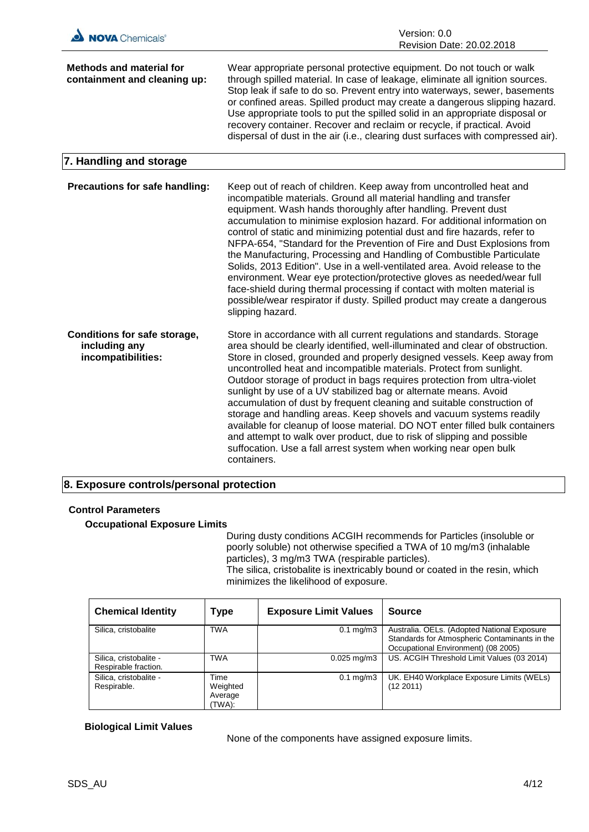

### **8. Exposure controls/personal protection**

#### **Control Parameters**

**Occupational Exposure Limits**

During dusty conditions ACGIH recommends for Particles (insoluble or poorly soluble) not otherwise specified a TWA of 10 mg/m3 (inhalable particles), 3 mg/m3 TWA (respirable particles). The silica, cristobalite is inextricably bound or coated in the resin, which minimizes the likelihood of exposure.

**Chemical Identity Type Exposure Limit Values Source** Silica, cristobalite | TWA | 0.1 mg/m3 | Australia. OELs. (Adopted National Exposure Standards for Atmospheric Contaminants in the Occupational Environment) (08 2005) Silica, cristobalite - Respirable fraction. TWA 0.025 mg/m3 US. ACGIH Threshold Limit Values (03 2014) Silica, cristobalite - Respirable. Time Weighted Average (TWA): 0.1 mg/m3 | UK. EH40 Workplace Exposure Limits (WELs) (12 2011)

### **Biological Limit Values**

None of the components have assigned exposure limits.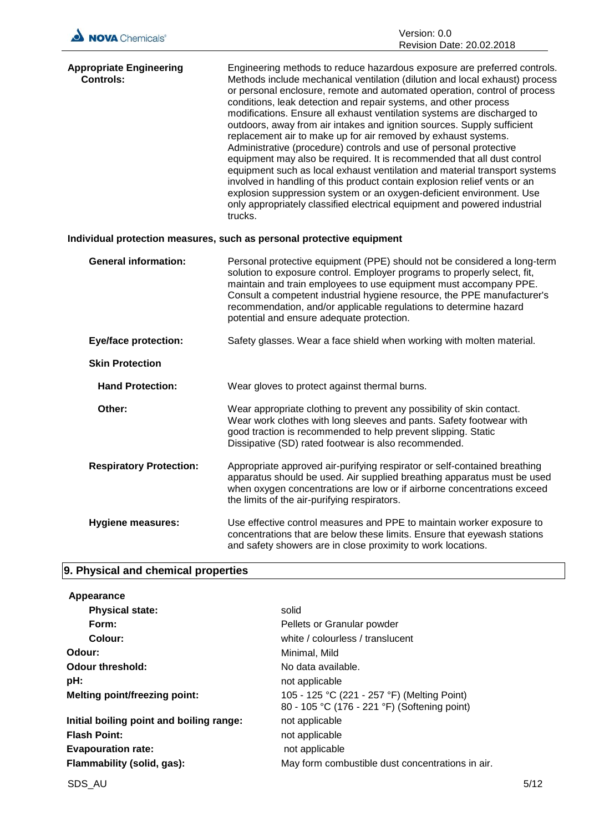| NOVA Chemicals® | Version: 0.0                     |
|-----------------|----------------------------------|
|                 | <b>Revision Date: 20.02.2018</b> |

| <b>Appropriate Engineering</b><br><b>Controls:</b> | Engineering methods to reduce hazardous exposure are preferred controls.<br>Methods include mechanical ventilation (dilution and local exhaust) process<br>or personal enclosure, remote and automated operation, control of process<br>conditions, leak detection and repair systems, and other process<br>modifications. Ensure all exhaust ventilation systems are discharged to<br>outdoors, away from air intakes and ignition sources. Supply sufficient<br>replacement air to make up for air removed by exhaust systems.<br>Administrative (procedure) controls and use of personal protective<br>equipment may also be required. It is recommended that all dust control<br>equipment such as local exhaust ventilation and material transport systems<br>involved in handling of this product contain explosion relief vents or an<br>explosion suppression system or an oxygen-deficient environment. Use<br>only appropriately classified electrical equipment and powered industrial<br>trucks. |
|----------------------------------------------------|--------------------------------------------------------------------------------------------------------------------------------------------------------------------------------------------------------------------------------------------------------------------------------------------------------------------------------------------------------------------------------------------------------------------------------------------------------------------------------------------------------------------------------------------------------------------------------------------------------------------------------------------------------------------------------------------------------------------------------------------------------------------------------------------------------------------------------------------------------------------------------------------------------------------------------------------------------------------------------------------------------------|
|                                                    |                                                                                                                                                                                                                                                                                                                                                                                                                                                                                                                                                                                                                                                                                                                                                                                                                                                                                                                                                                                                              |

### **Individual protection measures, such as personal protective equipment**

| <b>General information:</b>    | Personal protective equipment (PPE) should not be considered a long-term<br>solution to exposure control. Employer programs to properly select, fit,<br>maintain and train employees to use equipment must accompany PPE.<br>Consult a competent industrial hygiene resource, the PPE manufacturer's<br>recommendation, and/or applicable regulations to determine hazard<br>potential and ensure adequate protection. |
|--------------------------------|------------------------------------------------------------------------------------------------------------------------------------------------------------------------------------------------------------------------------------------------------------------------------------------------------------------------------------------------------------------------------------------------------------------------|
| <b>Eye/face protection:</b>    | Safety glasses. Wear a face shield when working with molten material.                                                                                                                                                                                                                                                                                                                                                  |
| <b>Skin Protection</b>         |                                                                                                                                                                                                                                                                                                                                                                                                                        |
| <b>Hand Protection:</b>        | Wear gloves to protect against thermal burns.                                                                                                                                                                                                                                                                                                                                                                          |
| Other:                         | Wear appropriate clothing to prevent any possibility of skin contact.<br>Wear work clothes with long sleeves and pants. Safety footwear with<br>good traction is recommended to help prevent slipping. Static<br>Dissipative (SD) rated footwear is also recommended.                                                                                                                                                  |
| <b>Respiratory Protection:</b> | Appropriate approved air-purifying respirator or self-contained breathing<br>apparatus should be used. Air supplied breathing apparatus must be used<br>when oxygen concentrations are low or if airborne concentrations exceed<br>the limits of the air-purifying respirators.                                                                                                                                        |
| <b>Hygiene measures:</b>       | Use effective control measures and PPE to maintain worker exposure to                                                                                                                                                                                                                                                                                                                                                  |

concentrations that are below these limits. Ensure that eyewash stations

and safety showers are in close proximity to work locations.

### **9. Physical and chemical properties**

| Appearance                               |                                                                                             |
|------------------------------------------|---------------------------------------------------------------------------------------------|
| <b>Physical state:</b>                   | solid                                                                                       |
| Form:                                    | Pellets or Granular powder                                                                  |
| Colour:                                  | white / colourless / translucent                                                            |
| Odour:                                   | Minimal, Mild                                                                               |
| Odour threshold:                         | No data available.                                                                          |
| pH:                                      | not applicable                                                                              |
| <b>Melting point/freezing point:</b>     | 105 - 125 °C (221 - 257 °F) (Melting Point)<br>80 - 105 °C (176 - 221 °F) (Softening point) |
| Initial boiling point and boiling range: | not applicable                                                                              |
| <b>Flash Point:</b>                      | not applicable                                                                              |
| <b>Evapouration rate:</b>                | not applicable                                                                              |
| Flammability (solid, gas):               | May form combustible dust concentrations in air.                                            |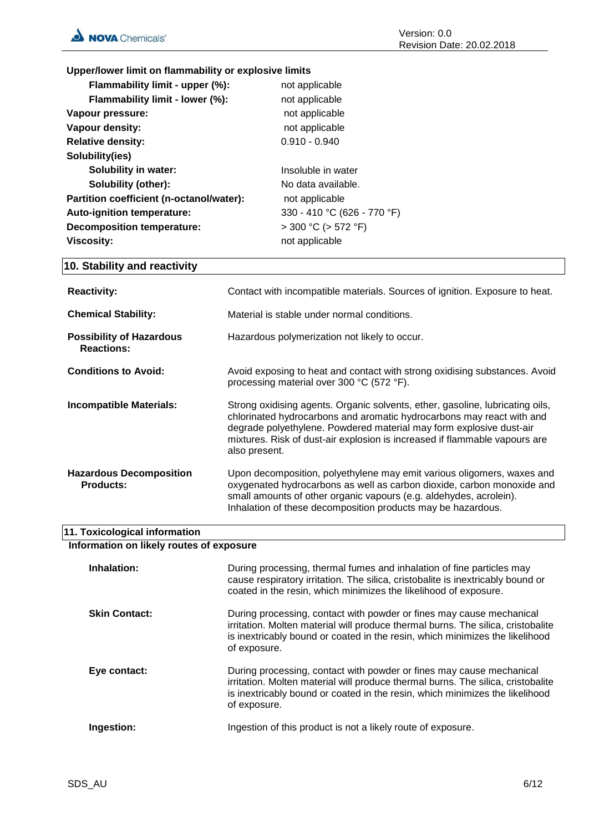**Upper/lower limit on flammability or explosive limits**

| Flammability limit - upper (%):          | not applicable              |
|------------------------------------------|-----------------------------|
| Flammability limit - lower (%):          | not applicable              |
| Vapour pressure:                         | not applicable              |
| Vapour density:                          | not applicable              |
| <b>Relative density:</b>                 | $0.910 - 0.940$             |
| Solubility(ies)                          |                             |
| Solubility in water:                     | Insoluble in water          |
| <b>Solubility (other):</b>               | No data available.          |
| Partition coefficient (n-octanol/water): | not applicable              |
| Auto-ignition temperature:               | 330 - 410 °C (626 - 770 °F) |
| <b>Decomposition temperature:</b>        | $>$ 300 °C ( $>$ 572 °F)    |
| <b>Viscosity:</b>                        | not applicable              |
|                                          |                             |

### **10. Stability and reactivity**

| <b>Reactivity:</b>                                   | Contact with incompatible materials. Sources of ignition. Exposure to heat.                                                                                                                                                                                                                                                  |
|------------------------------------------------------|------------------------------------------------------------------------------------------------------------------------------------------------------------------------------------------------------------------------------------------------------------------------------------------------------------------------------|
| <b>Chemical Stability:</b>                           | Material is stable under normal conditions.                                                                                                                                                                                                                                                                                  |
| <b>Possibility of Hazardous</b><br><b>Reactions:</b> | Hazardous polymerization not likely to occur.                                                                                                                                                                                                                                                                                |
| <b>Conditions to Avoid:</b>                          | Avoid exposing to heat and contact with strong oxidising substances. Avoid<br>processing material over 300 °C (572 °F).                                                                                                                                                                                                      |
| <b>Incompatible Materials:</b>                       | Strong oxidising agents. Organic solvents, ether, gasoline, lubricating oils,<br>chlorinated hydrocarbons and aromatic hydrocarbons may react with and<br>degrade polyethylene. Powdered material may form explosive dust-air<br>mixtures. Risk of dust-air explosion is increased if flammable vapours are<br>also present. |
| <b>Hazardous Decomposition</b><br><b>Products:</b>   | Upon decomposition, polyethylene may emit various oligomers, waxes and<br>oxygenated hydrocarbons as well as carbon dioxide, carbon monoxide and<br>small amounts of other organic vapours (e.g. aldehydes, acrolein).<br>Inhalation of these decomposition products may be hazardous.                                       |

### **11. Toxicological information**

**Information on likely routes of exposure**

| Inhalation:          | During processing, thermal fumes and inhalation of fine particles may<br>cause respiratory irritation. The silica, cristobalite is inextricably bound or<br>coated in the resin, which minimizes the likelihood of exposure.                             |
|----------------------|----------------------------------------------------------------------------------------------------------------------------------------------------------------------------------------------------------------------------------------------------------|
| <b>Skin Contact:</b> | During processing, contact with powder or fines may cause mechanical<br>irritation. Molten material will produce thermal burns. The silica, cristobalite<br>is inextricably bound or coated in the resin, which minimizes the likelihood<br>of exposure. |
| Eye contact:         | During processing, contact with powder or fines may cause mechanical<br>irritation. Molten material will produce thermal burns. The silica, cristobalite<br>is inextricably bound or coated in the resin, which minimizes the likelihood<br>of exposure. |
| Ingestion:           | Ingestion of this product is not a likely route of exposure.                                                                                                                                                                                             |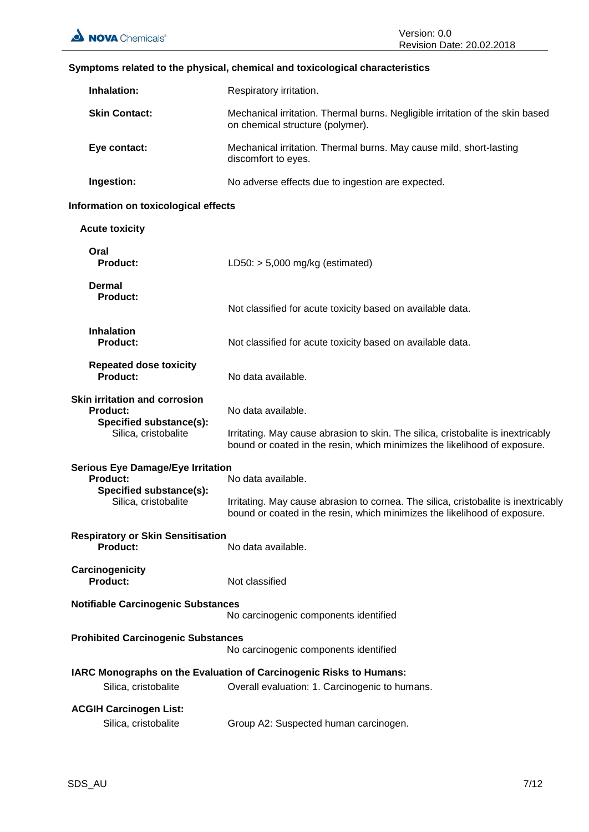| <b>Inhalation:</b>                                                                                             | Respiratory irritation.                                                                                                                                                               |
|----------------------------------------------------------------------------------------------------------------|---------------------------------------------------------------------------------------------------------------------------------------------------------------------------------------|
| <b>Skin Contact:</b>                                                                                           | Mechanical irritation. Thermal burns. Negligible irritation of the skin based<br>on chemical structure (polymer).                                                                     |
| Eye contact:                                                                                                   | Mechanical irritation. Thermal burns. May cause mild, short-lasting<br>discomfort to eyes.                                                                                            |
| Ingestion:                                                                                                     | No adverse effects due to ingestion are expected.                                                                                                                                     |
| Information on toxicological effects                                                                           |                                                                                                                                                                                       |
| <b>Acute toxicity</b>                                                                                          |                                                                                                                                                                                       |
| Oral<br><b>Product:</b>                                                                                        | LD50: $> 5,000$ mg/kg (estimated)                                                                                                                                                     |
| Dermal<br><b>Product:</b>                                                                                      | Not classified for acute toxicity based on available data.                                                                                                                            |
| <b>Inhalation</b><br>Product:                                                                                  | Not classified for acute toxicity based on available data.                                                                                                                            |
| <b>Repeated dose toxicity</b><br><b>Product:</b>                                                               | No data available.                                                                                                                                                                    |
| <b>Skin irritation and corrosion</b><br><b>Product:</b><br>Specified substance(s):<br>Silica, cristobalite     | No data available.<br>Irritating. May cause abrasion to skin. The silica, cristobalite is inextricably<br>bound or coated in the resin, which minimizes the likelihood of exposure.   |
| <b>Serious Eye Damage/Eye Irritation</b><br><b>Product:</b><br>Specified substance(s):<br>Silica, cristobalite | No data available.<br>Irritating. May cause abrasion to cornea. The silica, cristobalite is inextricably<br>bound or coated in the resin, which minimizes the likelihood of exposure. |
| <b>Respiratory or Skin Sensitisation</b><br>Product:<br>No data available.                                     |                                                                                                                                                                                       |
| Carcinogenicity<br><b>Product:</b>                                                                             | Not classified                                                                                                                                                                        |
| <b>Notifiable Carcinogenic Substances</b><br>No carcinogenic components identified                             |                                                                                                                                                                                       |
| <b>Prohibited Carcinogenic Substances</b>                                                                      | No carcinogenic components identified                                                                                                                                                 |
| Silica, cristobalite                                                                                           | IARC Monographs on the Evaluation of Carcinogenic Risks to Humans:<br>Overall evaluation: 1. Carcinogenic to humans.                                                                  |
| <b>ACGIH Carcinogen List:</b><br>Silica, cristobalite                                                          | Group A2: Suspected human carcinogen.                                                                                                                                                 |

### **Symptoms related to the physical, chemical and toxicological characteristics**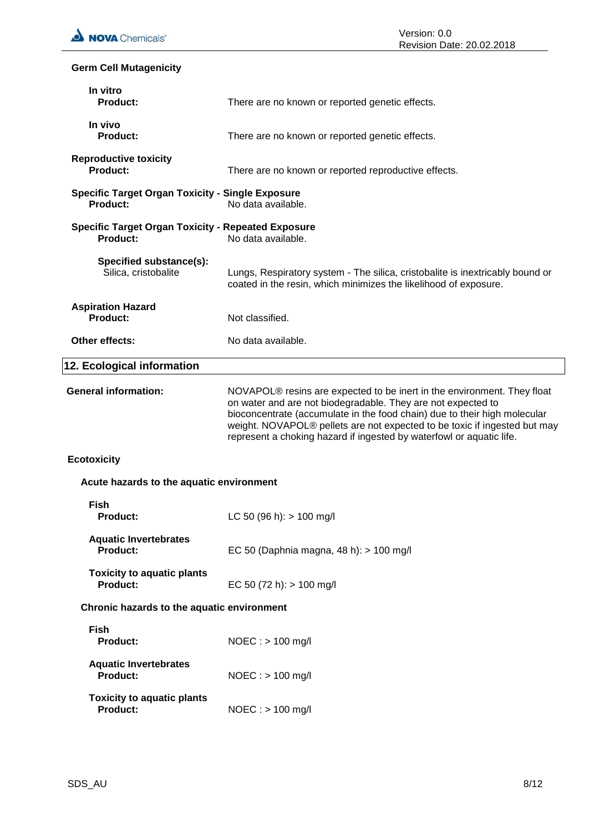### **Germ Cell Mutagenicity**

| In vitro<br><b>Product:</b>                                                  | There are no known or reported genetic effects.                                                                                                                                                                                                                                                                                                                                       |
|------------------------------------------------------------------------------|---------------------------------------------------------------------------------------------------------------------------------------------------------------------------------------------------------------------------------------------------------------------------------------------------------------------------------------------------------------------------------------|
| In vivo<br><b>Product:</b>                                                   | There are no known or reported genetic effects.                                                                                                                                                                                                                                                                                                                                       |
| <b>Reproductive toxicity</b><br>Product:                                     | There are no known or reported reproductive effects.                                                                                                                                                                                                                                                                                                                                  |
| <b>Specific Target Organ Toxicity - Single Exposure</b><br><b>Product:</b>   | No data available.                                                                                                                                                                                                                                                                                                                                                                    |
| <b>Specific Target Organ Toxicity - Repeated Exposure</b><br><b>Product:</b> | No data available.                                                                                                                                                                                                                                                                                                                                                                    |
| Specified substance(s):<br>Silica, cristobalite                              | Lungs, Respiratory system - The silica, cristobalite is inextricably bound or<br>coated in the resin, which minimizes the likelihood of exposure.                                                                                                                                                                                                                                     |
| <b>Aspiration Hazard</b><br>Product:                                         | Not classified.                                                                                                                                                                                                                                                                                                                                                                       |
| Other effects:                                                               | No data available.                                                                                                                                                                                                                                                                                                                                                                    |
| 12. Ecological information                                                   |                                                                                                                                                                                                                                                                                                                                                                                       |
| <b>General information:</b>                                                  | NOVAPOL <sup>®</sup> resins are expected to be inert in the environment. They float<br>on water and are not biodegradable. They are not expected to<br>bioconcentrate (accumulate in the food chain) due to their high molecular<br>weight. NOVAPOL® pellets are not expected to be toxic if ingested but may<br>represent a choking hazard if ingested by waterfowl or aquatic life. |
| <b>Ecotoxicity</b>                                                           |                                                                                                                                                                                                                                                                                                                                                                                       |
| Acute hazards to the aquatic environment                                     |                                                                                                                                                                                                                                                                                                                                                                                       |
| <b>Fish</b><br><b>Product:</b>                                               | LC 50 (96 h): $> 100$ mg/l                                                                                                                                                                                                                                                                                                                                                            |
| <b>Aquatic Invertebrates</b><br><b>Product:</b>                              | EC 50 (Daphnia magna, 48 h): $> 100$ mg/l                                                                                                                                                                                                                                                                                                                                             |
| <b>Toxicity to aquatic plants</b><br><b>Product:</b>                         | EC 50 (72 h): $> 100$ mg/l                                                                                                                                                                                                                                                                                                                                                            |
| Chronic hazards to the aquatic environment                                   |                                                                                                                                                                                                                                                                                                                                                                                       |
| <b>Fish</b><br><b>Product:</b>                                               | $NOEC : > 100$ mg/l                                                                                                                                                                                                                                                                                                                                                                   |
| <b>Aquatic Invertebrates</b><br><b>Product:</b>                              | $NOEC : > 100$ mg/l                                                                                                                                                                                                                                                                                                                                                                   |
| <b>Toxicity to aquatic plants</b><br><b>Product:</b>                         | $NOEC : > 100$ mg/l                                                                                                                                                                                                                                                                                                                                                                   |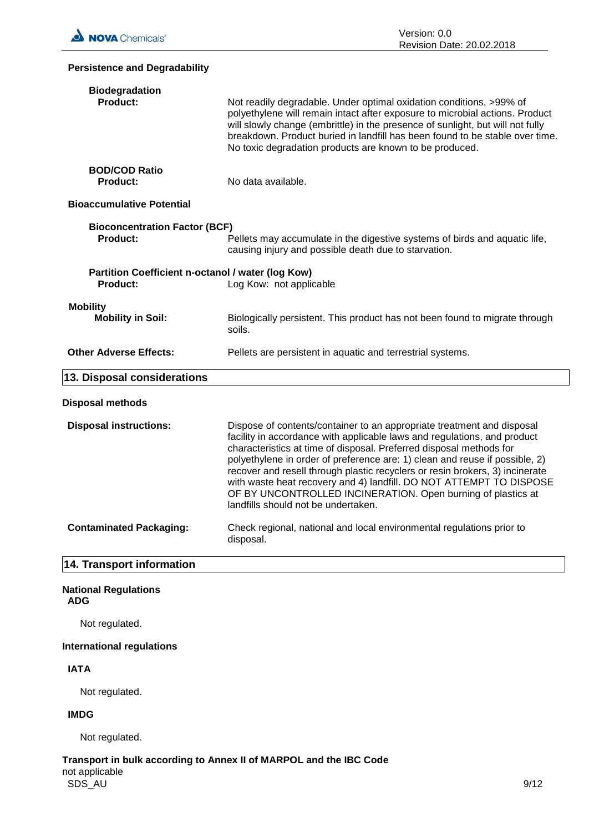

| <b>Persistence and Degradability</b>                                 |                                                                                                                                                                                                                                                                                                                                                                                                                                                                                                                                                                        |
|----------------------------------------------------------------------|------------------------------------------------------------------------------------------------------------------------------------------------------------------------------------------------------------------------------------------------------------------------------------------------------------------------------------------------------------------------------------------------------------------------------------------------------------------------------------------------------------------------------------------------------------------------|
| <b>Biodegradation</b><br>Product:                                    | Not readily degradable. Under optimal oxidation conditions, >99% of<br>polyethylene will remain intact after exposure to microbial actions. Product<br>will slowly change (embrittle) in the presence of sunlight, but will not fully<br>breakdown. Product buried in landfill has been found to be stable over time.<br>No toxic degradation products are known to be produced.                                                                                                                                                                                       |
| <b>BOD/COD Ratio</b><br><b>Product:</b>                              | No data available.                                                                                                                                                                                                                                                                                                                                                                                                                                                                                                                                                     |
| <b>Bioaccumulative Potential</b>                                     |                                                                                                                                                                                                                                                                                                                                                                                                                                                                                                                                                                        |
| <b>Bioconcentration Factor (BCF)</b><br><b>Product:</b>              | Pellets may accumulate in the digestive systems of birds and aquatic life,<br>causing injury and possible death due to starvation.                                                                                                                                                                                                                                                                                                                                                                                                                                     |
| Partition Coefficient n-octanol / water (log Kow)<br><b>Product:</b> | Log Kow: not applicable                                                                                                                                                                                                                                                                                                                                                                                                                                                                                                                                                |
| <b>Mobility</b><br><b>Mobility in Soil:</b>                          | Biologically persistent. This product has not been found to migrate through<br>soils.                                                                                                                                                                                                                                                                                                                                                                                                                                                                                  |
| <b>Other Adverse Effects:</b>                                        | Pellets are persistent in aquatic and terrestrial systems.                                                                                                                                                                                                                                                                                                                                                                                                                                                                                                             |
| 13. Disposal considerations                                          |                                                                                                                                                                                                                                                                                                                                                                                                                                                                                                                                                                        |
| Disposal methods                                                     |                                                                                                                                                                                                                                                                                                                                                                                                                                                                                                                                                                        |
| <b>Disposal instructions:</b>                                        | Dispose of contents/container to an appropriate treatment and disposal<br>facility in accordance with applicable laws and regulations, and product<br>characteristics at time of disposal. Preferred disposal methods for<br>polyethylene in order of preference are: 1) clean and reuse if possible, 2)<br>recover and resell through plastic recyclers or resin brokers, 3) incinerate<br>with waste heat recovery and 4) landfill. DO NOT ATTEMPT TO DISPOSE<br>OF BY UNCONTROLLED INCINERATION. Open burning of plastics at<br>landfills should not be undertaken. |
| <b>Contaminated Packaging:</b>                                       | Check regional, national and local environmental regulations prior to<br>disposal.                                                                                                                                                                                                                                                                                                                                                                                                                                                                                     |
| 14. Transport information                                            |                                                                                                                                                                                                                                                                                                                                                                                                                                                                                                                                                                        |
| <b>National Regulations</b><br><b>ADG</b>                            |                                                                                                                                                                                                                                                                                                                                                                                                                                                                                                                                                                        |

Not regulated.

### **International regulations**

### **IATA**

Not regulated.

### **IMDG**

Not regulated.

SDS\_AU 9/12 **Transport in bulk according to Annex II of MARPOL and the IBC Code** not applicable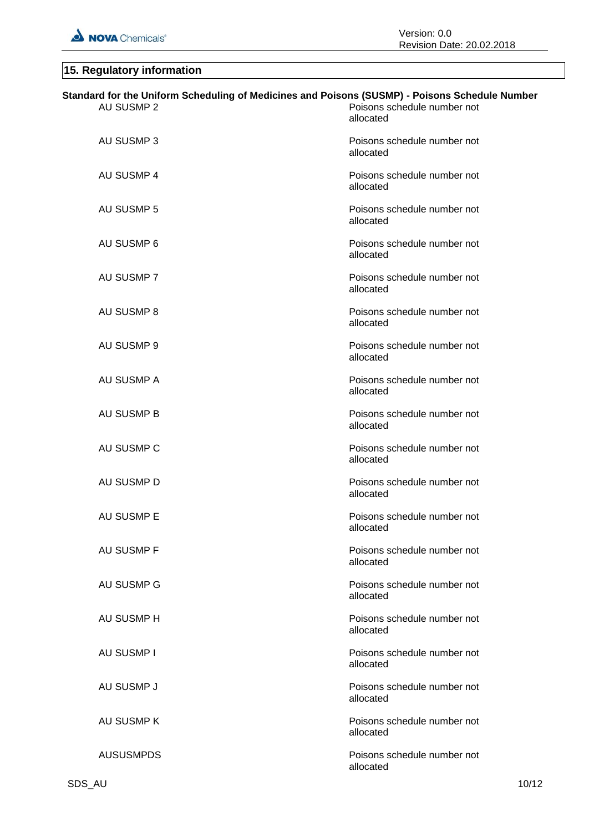# **15. Regulatory information**

| Standard for the Uniform Scheduling of Medicines and Poisons (SUSMP) - Poisons Schedule Number |                                          |
|------------------------------------------------------------------------------------------------|------------------------------------------|
| <b>AU SUSMP 2</b>                                                                              | Poisons schedule number not<br>allocated |
| AU SUSMP 3                                                                                     | Poisons schedule number not<br>allocated |
| AU SUSMP 4                                                                                     | Poisons schedule number not<br>allocated |
| AU SUSMP 5                                                                                     | Poisons schedule number not<br>allocated |
| AU SUSMP 6                                                                                     | Poisons schedule number not<br>allocated |
| AU SUSMP 7                                                                                     | Poisons schedule number not<br>allocated |
| AU SUSMP 8                                                                                     | Poisons schedule number not<br>allocated |
| AU SUSMP 9                                                                                     | Poisons schedule number not<br>allocated |
| AU SUSMP A                                                                                     | Poisons schedule number not<br>allocated |
| <b>AU SUSMP B</b>                                                                              | Poisons schedule number not<br>allocated |
| AU SUSMP C                                                                                     | Poisons schedule number not<br>allocated |
| AU SUSMP D                                                                                     | Poisons schedule number not<br>allocated |
| AU SUSMP E                                                                                     | Poisons schedule number not<br>allocated |
| AU SUSMP F                                                                                     | Poisons schedule number not<br>allocated |
| AU SUSMP G                                                                                     | Poisons schedule number not<br>allocated |
| AU SUSMP H                                                                                     | Poisons schedule number not<br>allocated |
| <b>AU SUSMP I</b>                                                                              | Poisons schedule number not<br>allocated |
| AU SUSMP J                                                                                     | Poisons schedule number not<br>allocated |
| AU SUSMP K                                                                                     | Poisons schedule number not<br>allocated |
| <b>AUSUSMPDS</b>                                                                               | Poisons schedule number not<br>allocated |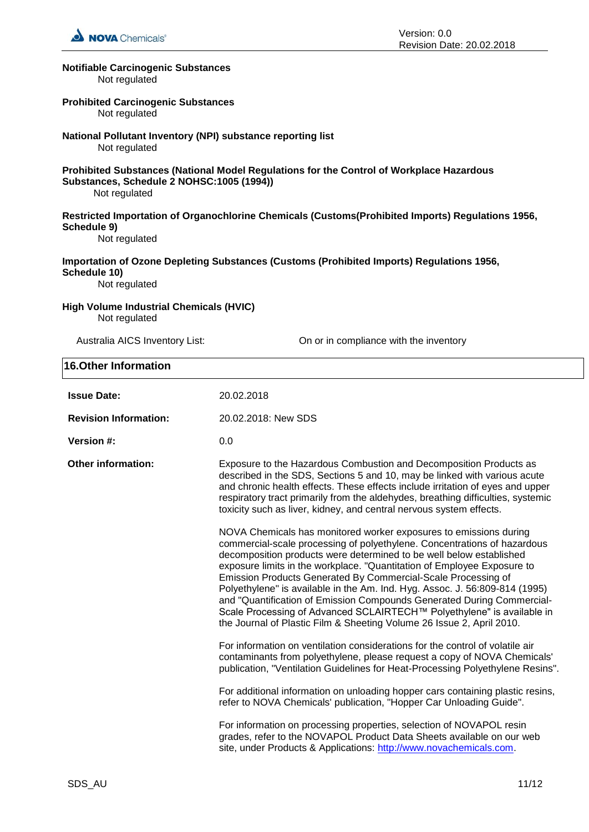

#### **Notifiable Carcinogenic Substances**

Not regulated

#### **Prohibited Carcinogenic Substances**

Not regulated

### **National Pollutant Inventory (NPI) substance reporting list**

Not regulated

#### **Prohibited Substances (National Model Regulations for the Control of Workplace Hazardous Substances, Schedule 2 NOHSC:1005 (1994))**

Not regulated

### **Restricted Importation of Organochlorine Chemicals (Customs(Prohibited Imports) Regulations 1956, Schedule 9)**

Not regulated

#### **Importation of Ozone Depleting Substances (Customs (Prohibited Imports) Regulations 1956, Schedule 10)**

Not regulated

#### **High Volume Industrial Chemicals (HVIC)** Not regulated

**16.Other Information**

Australia AICS Inventory List: On or in compliance with the inventory

| <b>U.OUIGE HILDI HANGE</b>   |                                                                                                                                                                                                                                                                                                                                                                                                                                                                                                                                                                                                                                                                              |
|------------------------------|------------------------------------------------------------------------------------------------------------------------------------------------------------------------------------------------------------------------------------------------------------------------------------------------------------------------------------------------------------------------------------------------------------------------------------------------------------------------------------------------------------------------------------------------------------------------------------------------------------------------------------------------------------------------------|
| <b>Issue Date:</b>           | 20.02.2018                                                                                                                                                                                                                                                                                                                                                                                                                                                                                                                                                                                                                                                                   |
| <b>Revision Information:</b> | 20.02.2018: New SDS                                                                                                                                                                                                                                                                                                                                                                                                                                                                                                                                                                                                                                                          |
| Version #:                   | 0.0                                                                                                                                                                                                                                                                                                                                                                                                                                                                                                                                                                                                                                                                          |
| <b>Other information:</b>    | Exposure to the Hazardous Combustion and Decomposition Products as<br>described in the SDS, Sections 5 and 10, may be linked with various acute<br>and chronic health effects. These effects include irritation of eyes and upper<br>respiratory tract primarily from the aldehydes, breathing difficulties, systemic<br>toxicity such as liver, kidney, and central nervous system effects.                                                                                                                                                                                                                                                                                 |
|                              | NOVA Chemicals has monitored worker exposures to emissions during<br>commercial-scale processing of polyethylene. Concentrations of hazardous<br>decomposition products were determined to be well below established<br>exposure limits in the workplace. "Quantitation of Employee Exposure to<br>Emission Products Generated By Commercial-Scale Processing of<br>Polyethylene" is available in the Am. Ind. Hyg. Assoc. J. 56:809-814 (1995)<br>and "Quantification of Emission Compounds Generated During Commercial-<br>Scale Processing of Advanced SCLAIRTECH™ Polyethylene" is available in<br>the Journal of Plastic Film & Sheeting Volume 26 Issue 2, April 2010. |
|                              | For information on ventilation considerations for the control of volatile air<br>contaminants from polyethylene, please request a copy of NOVA Chemicals'<br>publication, "Ventilation Guidelines for Heat-Processing Polyethylene Resins".                                                                                                                                                                                                                                                                                                                                                                                                                                  |
|                              | For additional information on unloading hopper cars containing plastic resins,<br>refer to NOVA Chemicals' publication, "Hopper Car Unloading Guide".                                                                                                                                                                                                                                                                                                                                                                                                                                                                                                                        |
|                              | For information on processing properties, selection of NOVAPOL resin<br>grades, refer to the NOVAPOL Product Data Sheets available on our web<br>site, under Products & Applications: http://www.novachemicals.com.                                                                                                                                                                                                                                                                                                                                                                                                                                                          |